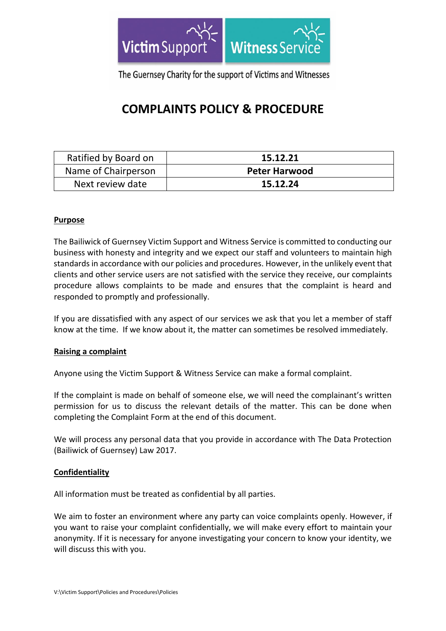

The Guernsey Charity for the support of Victims and Witnesses

# **COMPLAINTS POLICY & PROCEDURE**

| Ratified by Board on | 15.12.21             |
|----------------------|----------------------|
| Name of Chairperson  | <b>Peter Harwood</b> |
| Next review date     | 15.12.24             |

## **Purpose**

The Bailiwick of Guernsey Victim Support and Witness Service is committed to conducting our business with honesty and integrity and we expect our staff and volunteers to maintain high standards in accordance with our policies and procedures. However, in the unlikely event that clients and other service users are not satisfied with the service they receive, our complaints procedure allows complaints to be made and ensures that the complaint is heard and responded to promptly and professionally.

If you are dissatisfied with any aspect of our services we ask that you let a member of staff know at the time. If we know about it, the matter can sometimes be resolved immediately.

## **Raising a complaint**

Anyone using the Victim Support & Witness Service can make a formal complaint.

If the complaint is made on behalf of someone else, we will need the complainant's written permission for us to discuss the relevant details of the matter. This can be done when completing the Complaint Form at the end of this document.

We will process any personal data that you provide in accordance with The Data Protection (Bailiwick of Guernsey) Law 2017.

## **Confidentiality**

All information must be treated as confidential by all parties.

We aim to foster an environment where any party can voice complaints openly. However, if you want to raise your complaint confidentially, we will make every effort to maintain your anonymity. If it is necessary for anyone investigating your concern to know your identity, we will discuss this with you.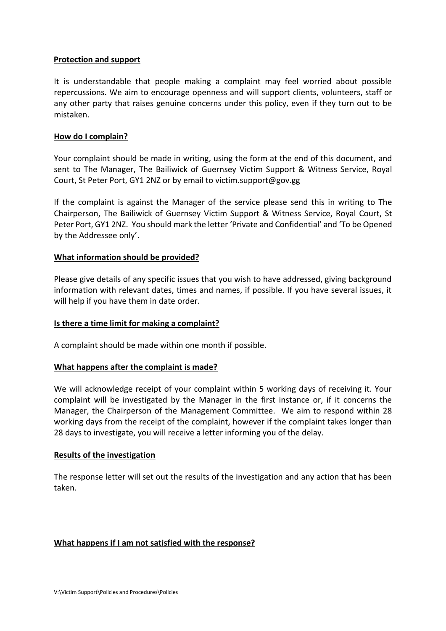## **Protection and support**

It is understandable that people making a complaint may feel worried about possible repercussions. We aim to encourage openness and will support clients, volunteers, staff or any other party that raises genuine concerns under this policy, even if they turn out to be mistaken.

## **How do I complain?**

Your complaint should be made in writing, using the form at the end of this document, and sent to The Manager, The Bailiwick of Guernsey Victim Support & Witness Service, Royal Court, St Peter Port, GY1 2NZ or by email to victim.support@gov.gg

If the complaint is against the Manager of the service please send this in writing to The Chairperson, The Bailiwick of Guernsey Victim Support & Witness Service, Royal Court, St Peter Port, GY1 2NZ. You should mark the letter 'Private and Confidential' and 'To be Opened by the Addressee only'.

## **What information should be provided?**

Please give details of any specific issues that you wish to have addressed, giving background information with relevant dates, times and names, if possible. If you have several issues, it will help if you have them in date order.

## **Is there a time limit for making a complaint?**

A complaint should be made within one month if possible.

## **What happens after the complaint is made?**

We will acknowledge receipt of your complaint within 5 working days of receiving it. Your complaint will be investigated by the Manager in the first instance or, if it concerns the Manager, the Chairperson of the Management Committee. We aim to respond within 28 working days from the receipt of the complaint, however if the complaint takes longer than 28 days to investigate, you will receive a letter informing you of the delay.

## **Results of the investigation**

The response letter will set out the results of the investigation and any action that has been taken.

## **What happens if I am not satisfied with the response?**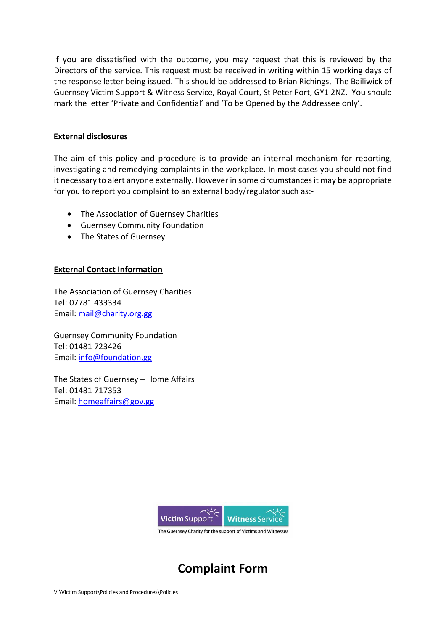If you are dissatisfied with the outcome, you may request that this is reviewed by the Directors of the service. This request must be received in writing within 15 working days of the response letter being issued. This should be addressed to Brian Richings, The Bailiwick of Guernsey Victim Support & Witness Service, Royal Court, St Peter Port, GY1 2NZ. You should mark the letter 'Private and Confidential' and 'To be Opened by the Addressee only'.

## **External disclosures**

The aim of this policy and procedure is to provide an internal mechanism for reporting, investigating and remedying complaints in the workplace. In most cases you should not find it necessary to alert anyone externally. However in some circumstances it may be appropriate for you to report you complaint to an external body/regulator such as:-

- The Association of Guernsey Charities
- Guernsey Community Foundation
- The States of Guernsey

## **External Contact Information**

The Association of Guernsey Charities Tel: 07781 433334 Email: [mail@charity.org.gg](mailto:mail@charity.org.gg)

Guernsey Community Foundation Tel: 01481 723426 Email: [info@foundation.gg](mailto:info@foundation.gg)

The States of Guernsey – Home Affairs Tel: 01481 717353 Email: [homeaffairs@gov.gg](mailto:homeaffairs@gov.gg)



# **Complaint Form**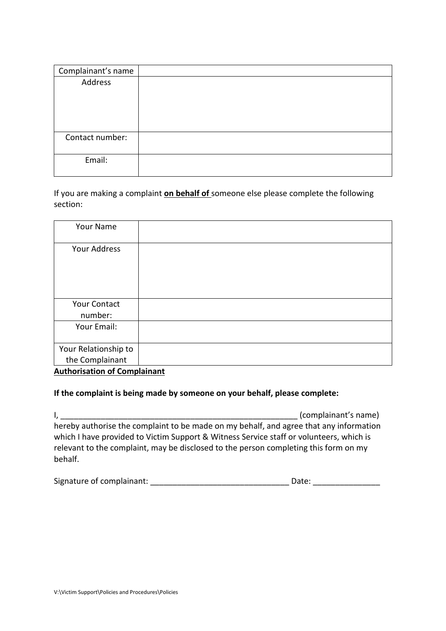| Complainant's name |  |
|--------------------|--|
| Address            |  |
| Contact number:    |  |
| Email:             |  |

If you are making a complaint **on behalf of** someone else please complete the following section:

| <b>Your Name</b>                    |  |
|-------------------------------------|--|
|                                     |  |
| Your Address                        |  |
|                                     |  |
| <b>Your Contact</b>                 |  |
| number:                             |  |
| Your Email:                         |  |
|                                     |  |
| Your Relationship to                |  |
| the Complainant                     |  |
| <b>Authorisation of Complainant</b> |  |

**If the complaint is being made by someone on your behalf, please complete:** 

I, the complainant's name) and  $\sim$  (complainant's name) hereby authorise the complaint to be made on my behalf, and agree that any information which I have provided to Victim Support & Witness Service staff or volunteers, which is relevant to the complaint, may be disclosed to the person completing this form on my behalf.

| Signature of complainant: |  | Date: |
|---------------------------|--|-------|
|---------------------------|--|-------|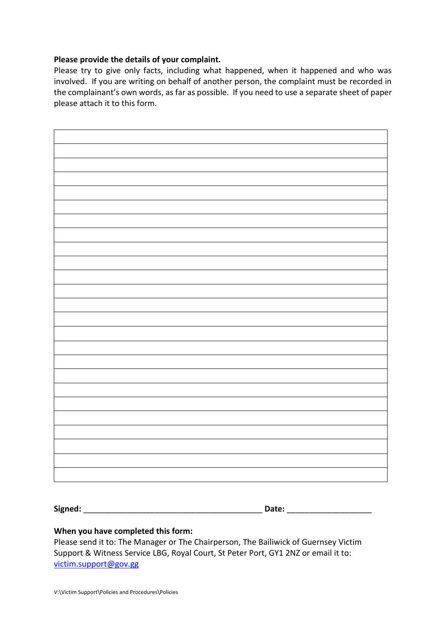## **Please provide the details of your complaint.**

Please try to give only facts, including what happened, when it happened and who was involved. If you are writing on behalf of another person, the complaint must be recorded in the complainant's own words, as far as possible. If you need to use a separate sheet of paper please attach it to this form.

**Signed:** \_\_\_\_\_\_\_\_\_\_\_\_\_\_\_\_\_\_\_\_\_\_\_\_\_\_\_\_\_\_\_\_\_\_\_\_\_\_\_\_ **Date:** \_\_\_\_\_\_\_\_\_\_\_\_\_\_\_\_\_\_\_

## **When you have completed this form:**

Please send it to: The Manager or The Chairperson, The Bailiwick of Guernsey Victim Support & Witness Service LBG, Royal Court, St Peter Port, GY1 2NZ or email it to: [victim.support@gov.gg](mailto:victimsupportgsy@cwgsy.net)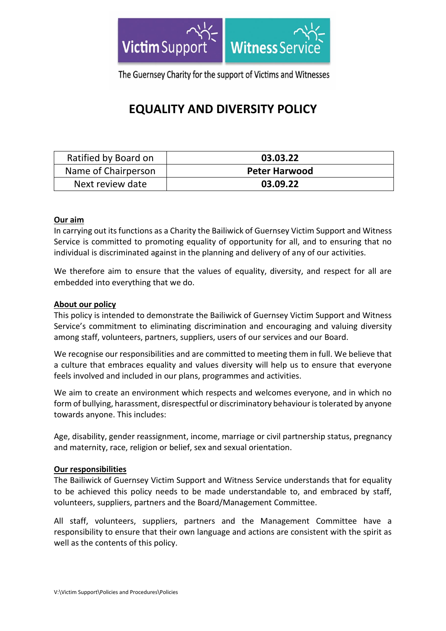

The Guernsey Charity for the support of Victims and Witnesses

# **EQUALITY AND DIVERSITY POLICY**

| Ratified by Board on | 03.03.22             |
|----------------------|----------------------|
| Name of Chairperson  | <b>Peter Harwood</b> |
| Next review date     | 03.09.22             |

## **Our aim**

In carrying out its functions as a Charity the Bailiwick of Guernsey Victim Support and Witness Service is committed to promoting equality of opportunity for all, and to ensuring that no individual is discriminated against in the planning and delivery of any of our activities.

We therefore aim to ensure that the values of equality, diversity, and respect for all are embedded into everything that we do.

## **About our policy**

This policy is intended to demonstrate the Bailiwick of Guernsey Victim Support and Witness Service's commitment to eliminating discrimination and encouraging and valuing diversity among staff, volunteers, partners, suppliers, users of our services and our Board.

We recognise our responsibilities and are committed to meeting them in full. We believe that a culture that embraces equality and values diversity will help us to ensure that everyone feels involved and included in our plans, programmes and activities.

We aim to create an environment which respects and welcomes everyone, and in which no form of bullying, harassment, disrespectful or discriminatory behaviour is tolerated by anyone towards anyone. This includes:

Age, disability, gender reassignment, income, marriage or civil partnership status, pregnancy and maternity, race, religion or belief, sex and sexual orientation.

## **Our responsibilities**

The Bailiwick of Guernsey Victim Support and Witness Service understands that for equality to be achieved this policy needs to be made understandable to, and embraced by staff, volunteers, suppliers, partners and the Board/Management Committee.

All staff, volunteers, suppliers, partners and the Management Committee have a responsibility to ensure that their own language and actions are consistent with the spirit as well as the contents of this policy.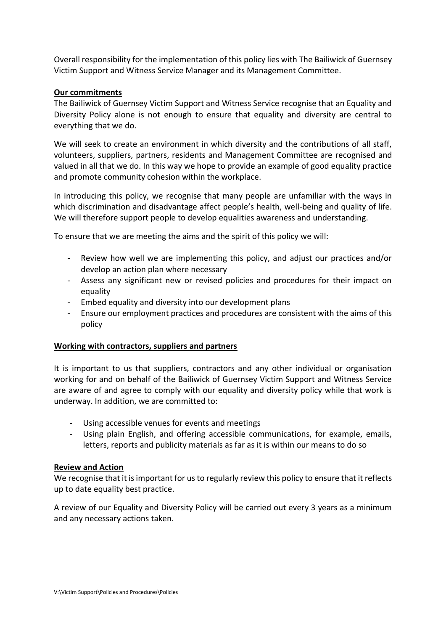Overall responsibility for the implementation of this policy lies with The Bailiwick of Guernsey Victim Support and Witness Service Manager and its Management Committee.

## **Our commitments**

The Bailiwick of Guernsey Victim Support and Witness Service recognise that an Equality and Diversity Policy alone is not enough to ensure that equality and diversity are central to everything that we do.

We will seek to create an environment in which diversity and the contributions of all staff, volunteers, suppliers, partners, residents and Management Committee are recognised and valued in all that we do. In this way we hope to provide an example of good equality practice and promote community cohesion within the workplace.

In introducing this policy, we recognise that many people are unfamiliar with the ways in which discrimination and disadvantage affect people's health, well-being and quality of life. We will therefore support people to develop equalities awareness and understanding.

To ensure that we are meeting the aims and the spirit of this policy we will:

- Review how well we are implementing this policy, and adjust our practices and/or develop an action plan where necessary
- Assess any significant new or revised policies and procedures for their impact on equality
- Embed equality and diversity into our development plans
- Ensure our employment practices and procedures are consistent with the aims of this policy

## **Working with contractors, suppliers and partners**

It is important to us that suppliers, contractors and any other individual or organisation working for and on behalf of the Bailiwick of Guernsey Victim Support and Witness Service are aware of and agree to comply with our equality and diversity policy while that work is underway. In addition, we are committed to:

- Using accessible venues for events and meetings
- Using plain English, and offering accessible communications, for example, emails, letters, reports and publicity materials as far as it is within our means to do so

## **Review and Action**

We recognise that it is important for us to regularly review this policy to ensure that it reflects up to date equality best practice.

A review of our Equality and Diversity Policy will be carried out every 3 years as a minimum and any necessary actions taken.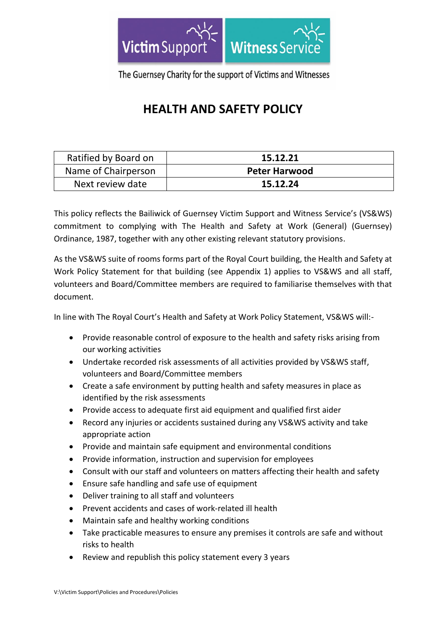

The Guernsey Charity for the support of Victims and Witnesses

# **HEALTH AND SAFETY POLICY**

| Ratified by Board on | 15.12.21             |
|----------------------|----------------------|
| Name of Chairperson  | <b>Peter Harwood</b> |
| Next review date     | 15.12.24             |

This policy reflects the Bailiwick of Guernsey Victim Support and Witness Service's (VS&WS) commitment to complying with The Health and Safety at Work (General) (Guernsey) Ordinance, 1987, together with any other existing relevant statutory provisions.

As the VS&WS suite of rooms forms part of the Royal Court building, the Health and Safety at Work Policy Statement for that building (see Appendix 1) applies to VS&WS and all staff, volunteers and Board/Committee members are required to familiarise themselves with that document.

In line with The Royal Court's Health and Safety at Work Policy Statement, VS&WS will:-

- Provide reasonable control of exposure to the health and safety risks arising from our working activities
- Undertake recorded risk assessments of all activities provided by VS&WS staff, volunteers and Board/Committee members
- Create a safe environment by putting health and safety measures in place as identified by the risk assessments
- Provide access to adequate first aid equipment and qualified first aider
- Record any injuries or accidents sustained during any VS&WS activity and take appropriate action
- Provide and maintain safe equipment and environmental conditions
- Provide information, instruction and supervision for employees
- Consult with our staff and volunteers on matters affecting their health and safety
- Ensure safe handling and safe use of equipment
- Deliver training to all staff and volunteers
- Prevent accidents and cases of work-related ill health
- Maintain safe and healthy working conditions
- Take practicable measures to ensure any premises it controls are safe and without risks to health
- Review and republish this policy statement every 3 years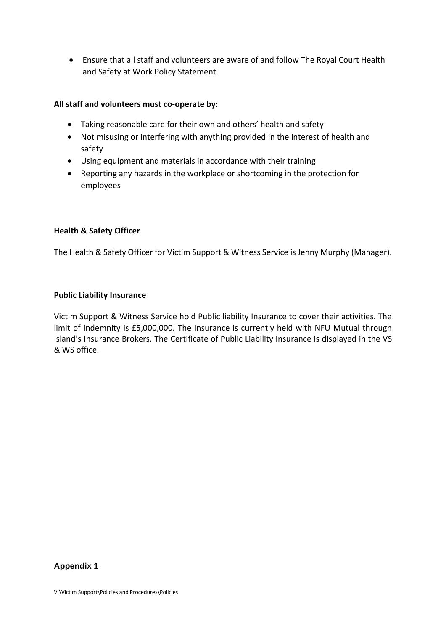• Ensure that all staff and volunteers are aware of and follow The Royal Court Health and Safety at Work Policy Statement

## **All staff and volunteers must co-operate by:**

- Taking reasonable care for their own and others' health and safety
- Not misusing or interfering with anything provided in the interest of health and safety
- Using equipment and materials in accordance with their training
- Reporting any hazards in the workplace or shortcoming in the protection for employees

## **Health & Safety Officer**

The Health & Safety Officer for Victim Support & Witness Service is Jenny Murphy (Manager).

## **Public Liability Insurance**

Victim Support & Witness Service hold Public liability Insurance to cover their activities. The limit of indemnity is £5,000,000. The Insurance is currently held with NFU Mutual through Island's Insurance Brokers. The Certificate of Public Liability Insurance is displayed in the VS & WS office.

## **Appendix 1**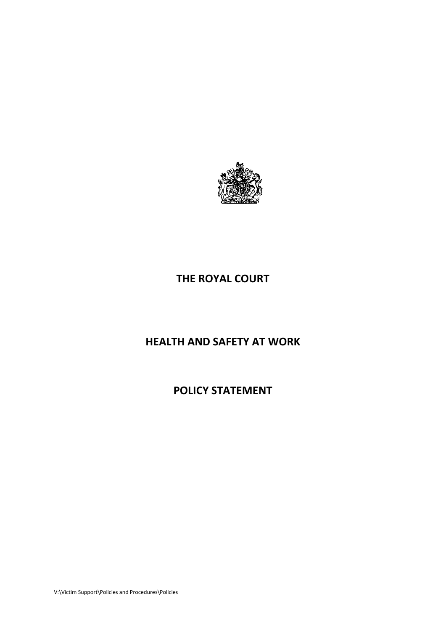

## **THE ROYAL COURT**

# **HEALTH AND SAFETY AT WORK**

**POLICY STATEMENT**

V:\Victim Support\Policies and Procedures\Policies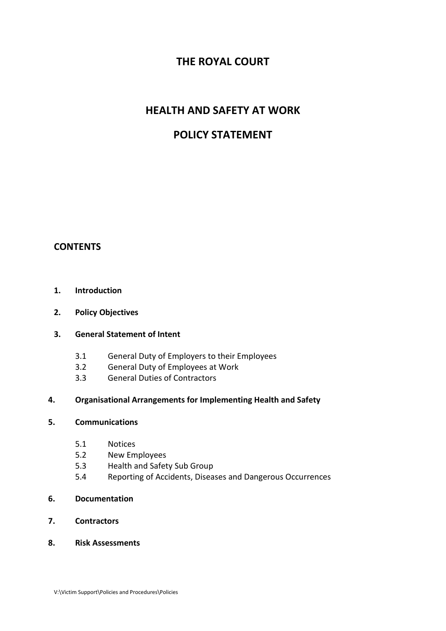## **THE ROYAL COURT**

## **HEALTH AND SAFETY AT WORK**

## **POLICY STATEMENT**

## **CONTENTS**

## **1. Introduction**

## **2. Policy Objectives**

## **3. General Statement of Intent**

- 3.1 General Duty of Employers to their Employees
- 3.2 General Duty of Employees at Work
- 3.3 General Duties of Contractors

## **4. Organisational Arrangements for Implementing Health and Safety**

## **5. Communications**

- 5.1 Notices
- 5.2 New Employees
- 5.3 Health and Safety Sub Group
- 5.4 Reporting of Accidents, Diseases and Dangerous Occurrences
- **6. Documentation**
- **7. Contractors**
- **8. Risk Assessments**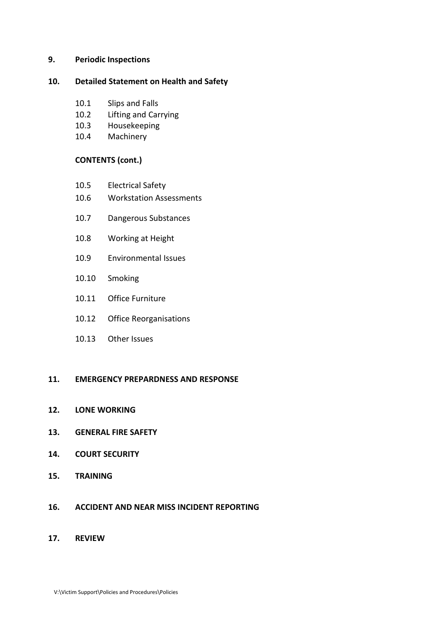#### **9. Periodic Inspections**

#### **10. Detailed Statement on Health and Safety**

- 10.1 Slips and Falls
- 10.2 Lifting and Carrying
- 10.3 Housekeeping
- 10.4 Machinery

## **CONTENTS (cont.)**

- 10.5 Electrical Safety
- 10.6 Workstation Assessments
- 10.7 Dangerous Substances
- 10.8 Working at Height
- 10.9 Environmental Issues
- 10.10 Smoking
- 10.11 Office Furniture
- 10.12 Office Reorganisations
- 10.13 Other Issues

## **11. EMERGENCY PREPARDNESS AND RESPONSE**

- **12. LONE WORKING**
- **13. GENERAL FIRE SAFETY**
- **14. COURT SECURITY**
- **15. TRAINING**
- **16. ACCIDENT AND NEAR MISS INCIDENT REPORTING**
- **17. REVIEW**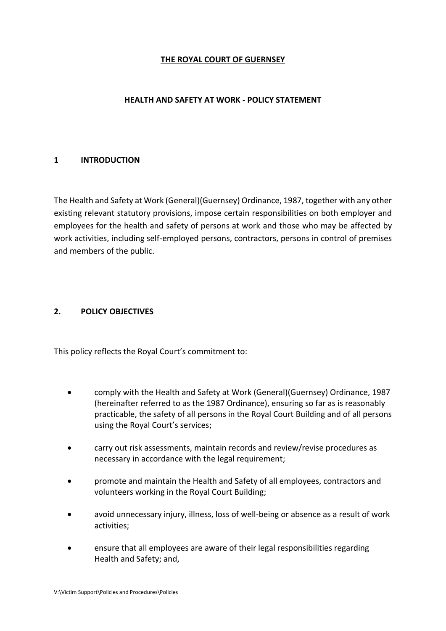## **THE ROYAL COURT OF GUERNSEY**

## **HEALTH AND SAFETY AT WORK - POLICY STATEMENT**

## **1 INTRODUCTION**

The Health and Safety at Work (General)(Guernsey) Ordinance, 1987, together with any other existing relevant statutory provisions, impose certain responsibilities on both employer and employees for the health and safety of persons at work and those who may be affected by work activities, including self-employed persons, contractors, persons in control of premises and members of the public.

## **2. POLICY OBJECTIVES**

This policy reflects the Royal Court's commitment to:

- comply with the Health and Safety at Work (General)(Guernsey) Ordinance, 1987 (hereinafter referred to as the 1987 Ordinance), ensuring so far as is reasonably practicable, the safety of all persons in the Royal Court Building and of all persons using the Royal Court's services;
- carry out risk assessments, maintain records and review/revise procedures as necessary in accordance with the legal requirement;
- promote and maintain the Health and Safety of all employees, contractors and volunteers working in the Royal Court Building;
- avoid unnecessary injury, illness, loss of well-being or absence as a result of work activities;
- ensure that all employees are aware of their legal responsibilities regarding Health and Safety; and,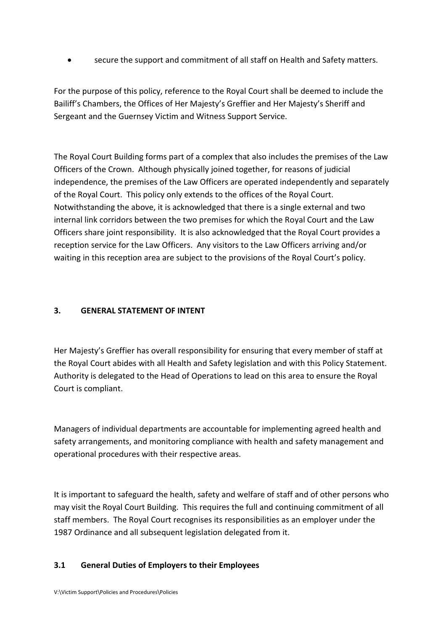• secure the support and commitment of all staff on Health and Safety matters.

For the purpose of this policy, reference to the Royal Court shall be deemed to include the Bailiff's Chambers, the Offices of Her Majesty's Greffier and Her Majesty's Sheriff and Sergeant and the Guernsey Victim and Witness Support Service.

The Royal Court Building forms part of a complex that also includes the premises of the Law Officers of the Crown. Although physically joined together, for reasons of judicial independence, the premises of the Law Officers are operated independently and separately of the Royal Court. This policy only extends to the offices of the Royal Court. Notwithstanding the above, it is acknowledged that there is a single external and two internal link corridors between the two premises for which the Royal Court and the Law Officers share joint responsibility. It is also acknowledged that the Royal Court provides a reception service for the Law Officers. Any visitors to the Law Officers arriving and/or waiting in this reception area are subject to the provisions of the Royal Court's policy.

## **3. GENERAL STATEMENT OF INTENT**

Her Majesty's Greffier has overall responsibility for ensuring that every member of staff at the Royal Court abides with all Health and Safety legislation and with this Policy Statement. Authority is delegated to the Head of Operations to lead on this area to ensure the Royal Court is compliant.

Managers of individual departments are accountable for implementing agreed health and safety arrangements, and monitoring compliance with health and safety management and operational procedures with their respective areas.

It is important to safeguard the health, safety and welfare of staff and of other persons who may visit the Royal Court Building. This requires the full and continuing commitment of all staff members. The Royal Court recognises its responsibilities as an employer under the 1987 Ordinance and all subsequent legislation delegated from it.

## **3.1 General Duties of Employers to their Employees**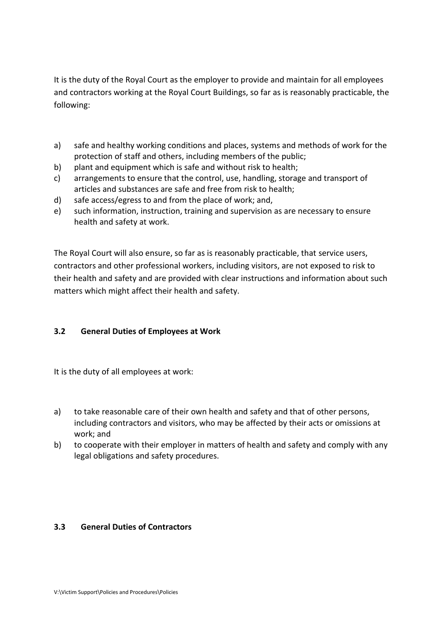It is the duty of the Royal Court as the employer to provide and maintain for all employees and contractors working at the Royal Court Buildings, so far as is reasonably practicable, the following:

- a) safe and healthy working conditions and places, systems and methods of work for the protection of staff and others, including members of the public;
- b) plant and equipment which is safe and without risk to health;
- c) arrangements to ensure that the control, use, handling, storage and transport of articles and substances are safe and free from risk to health;
- d) safe access/egress to and from the place of work; and,
- e) such information, instruction, training and supervision as are necessary to ensure health and safety at work.

The Royal Court will also ensure, so far as is reasonably practicable, that service users, contractors and other professional workers, including visitors, are not exposed to risk to their health and safety and are provided with clear instructions and information about such matters which might affect their health and safety.

## **3.2 General Duties of Employees at Work**

It is the duty of all employees at work:

- a) to take reasonable care of their own health and safety and that of other persons, including contractors and visitors, who may be affected by their acts or omissions at work; and
- b) to cooperate with their employer in matters of health and safety and comply with any legal obligations and safety procedures.

## **3.3 General Duties of Contractors**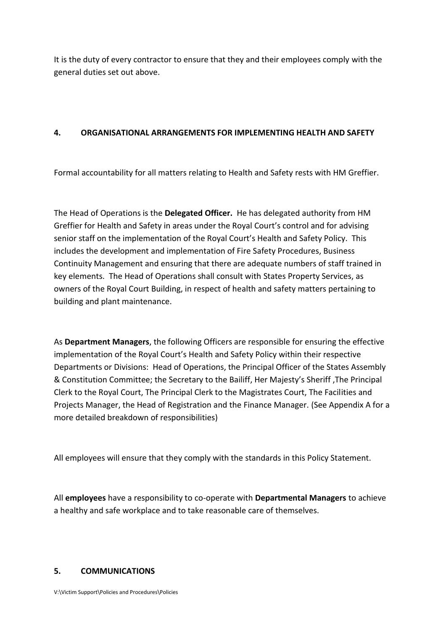It is the duty of every contractor to ensure that they and their employees comply with the general duties set out above.

## **4. ORGANISATIONAL ARRANGEMENTS FOR IMPLEMENTING HEALTH AND SAFETY**

Formal accountability for all matters relating to Health and Safety rests with HM Greffier.

The Head of Operations is the **Delegated Officer.** He has delegated authority from HM Greffier for Health and Safety in areas under the Royal Court's control and for advising senior staff on the implementation of the Royal Court's Health and Safety Policy. This includes the development and implementation of Fire Safety Procedures, Business Continuity Management and ensuring that there are adequate numbers of staff trained in key elements. The Head of Operations shall consult with States Property Services, as owners of the Royal Court Building, in respect of health and safety matters pertaining to building and plant maintenance.

As **Department Managers**, the following Officers are responsible for ensuring the effective implementation of the Royal Court's Health and Safety Policy within their respective Departments or Divisions: Head of Operations, the Principal Officer of the States Assembly & Constitution Committee; the Secretary to the Bailiff, Her Majesty's Sheriff ,The Principal Clerk to the Royal Court, The Principal Clerk to the Magistrates Court, The Facilities and Projects Manager, the Head of Registration and the Finance Manager. (See Appendix A for a more detailed breakdown of responsibilities)

All employees will ensure that they comply with the standards in this Policy Statement.

All **employees** have a responsibility to co-operate with **Departmental Managers** to achieve a healthy and safe workplace and to take reasonable care of themselves.

## **5. COMMUNICATIONS**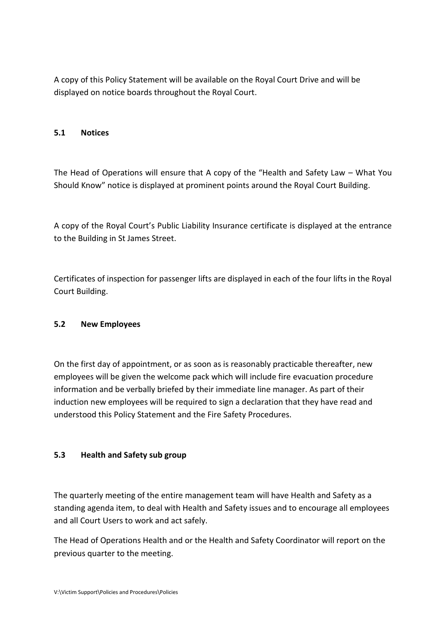A copy of this Policy Statement will be available on the Royal Court Drive and will be displayed on notice boards throughout the Royal Court.

## **5.1 Notices**

The Head of Operations will ensure that A copy of the "Health and Safety Law – What You Should Know" notice is displayed at prominent points around the Royal Court Building.

A copy of the Royal Court's Public Liability Insurance certificate is displayed at the entrance to the Building in St James Street.

Certificates of inspection for passenger lifts are displayed in each of the four lifts in the Royal Court Building.

## **5.2 New Employees**

On the first day of appointment, or as soon as is reasonably practicable thereafter, new employees will be given the welcome pack which will include fire evacuation procedure information and be verbally briefed by their immediate line manager. As part of their induction new employees will be required to sign a declaration that they have read and understood this Policy Statement and the Fire Safety Procedures.

## **5.3 Health and Safety sub group**

The quarterly meeting of the entire management team will have Health and Safety as a standing agenda item, to deal with Health and Safety issues and to encourage all employees and all Court Users to work and act safely.

The Head of Operations Health and or the Health and Safety Coordinator will report on the previous quarter to the meeting.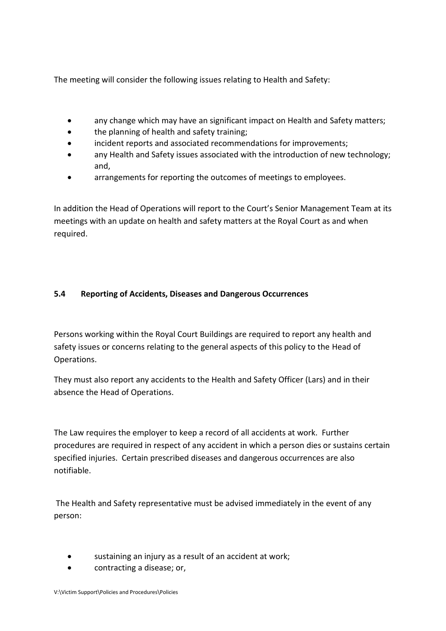The meeting will consider the following issues relating to Health and Safety:

- any change which may have an significant impact on Health and Safety matters;
- the planning of health and safety training;
- incident reports and associated recommendations for improvements;
- any Health and Safety issues associated with the introduction of new technology; and,
- arrangements for reporting the outcomes of meetings to employees.

In addition the Head of Operations will report to the Court's Senior Management Team at its meetings with an update on health and safety matters at the Royal Court as and when required.

## **5.4 Reporting of Accidents, Diseases and Dangerous Occurrences**

Persons working within the Royal Court Buildings are required to report any health and safety issues or concerns relating to the general aspects of this policy to the Head of Operations.

They must also report any accidents to the Health and Safety Officer (Lars) and in their absence the Head of Operations.

The Law requires the employer to keep a record of all accidents at work. Further procedures are required in respect of any accident in which a person dies or sustains certain specified injuries. Certain prescribed diseases and dangerous occurrences are also notifiable.

The Health and Safety representative must be advised immediately in the event of any person:

- sustaining an injury as a result of an accident at work;
- contracting a disease; or,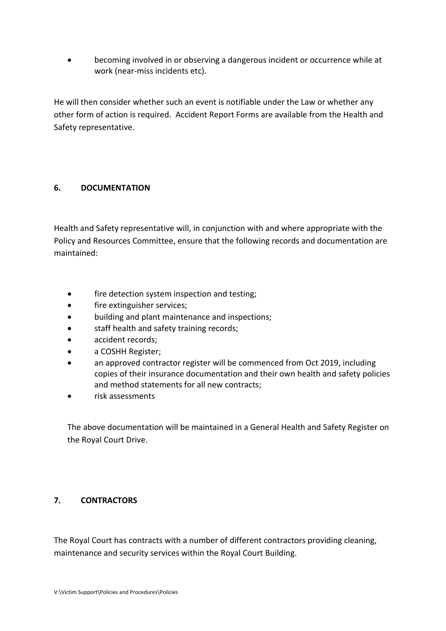• becoming involved in or observing a dangerous incident or occurrence while at work (near-miss incidents etc).

He will then consider whether such an event is notifiable under the Law or whether any other form of action is required. Accident Report Forms are available from the Health and Safety representative.

## **6. DOCUMENTATION**

Health and Safety representative will, in conjunction with and where appropriate with the Policy and Resources Committee, ensure that the following records and documentation are maintained:

- fire detection system inspection and testing;
- fire extinguisher services;
- building and plant maintenance and inspections;
- staff health and safety training records;
- accident records;
- a COSHH Register;
- an approved contractor register will be commenced from Oct 2019, including copies of their insurance documentation and their own health and safety policies and method statements for all new contracts;
- risk assessments

The above documentation will be maintained in a General Health and Safety Register on the Royal Court Drive.

## **7. CONTRACTORS**

The Royal Court has contracts with a number of different contractors providing cleaning, maintenance and security services within the Royal Court Building.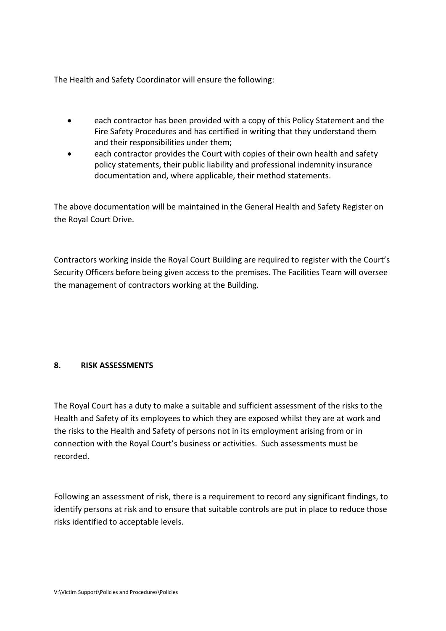The Health and Safety Coordinator will ensure the following:

- each contractor has been provided with a copy of this Policy Statement and the Fire Safety Procedures and has certified in writing that they understand them and their responsibilities under them;
- each contractor provides the Court with copies of their own health and safety policy statements, their public liability and professional indemnity insurance documentation and, where applicable, their method statements.

The above documentation will be maintained in the General Health and Safety Register on the Royal Court Drive.

Contractors working inside the Royal Court Building are required to register with the Court's Security Officers before being given access to the premises. The Facilities Team will oversee the management of contractors working at the Building.

## **8. RISK ASSESSMENTS**

The Royal Court has a duty to make a suitable and sufficient assessment of the risks to the Health and Safety of its employees to which they are exposed whilst they are at work and the risks to the Health and Safety of persons not in its employment arising from or in connection with the Royal Court's business or activities. Such assessments must be recorded.

Following an assessment of risk, there is a requirement to record any significant findings, to identify persons at risk and to ensure that suitable controls are put in place to reduce those risks identified to acceptable levels.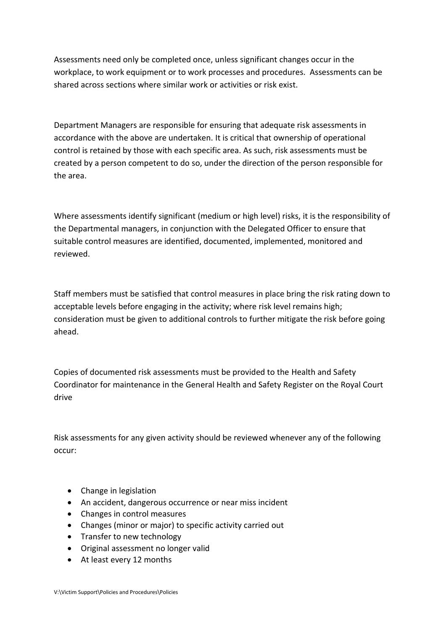Assessments need only be completed once, unless significant changes occur in the workplace, to work equipment or to work processes and procedures. Assessments can be shared across sections where similar work or activities or risk exist.

Department Managers are responsible for ensuring that adequate risk assessments in accordance with the above are undertaken. It is critical that ownership of operational control is retained by those with each specific area. As such, risk assessments must be created by a person competent to do so, under the direction of the person responsible for the area.

Where assessments identify significant (medium or high level) risks, it is the responsibility of the Departmental managers, in conjunction with the Delegated Officer to ensure that suitable control measures are identified, documented, implemented, monitored and reviewed.

Staff members must be satisfied that control measures in place bring the risk rating down to acceptable levels before engaging in the activity; where risk level remains high; consideration must be given to additional controls to further mitigate the risk before going ahead.

Copies of documented risk assessments must be provided to the Health and Safety Coordinator for maintenance in the General Health and Safety Register on the Royal Court drive

Risk assessments for any given activity should be reviewed whenever any of the following occur:

- Change in legislation
- An accident, dangerous occurrence or near miss incident
- Changes in control measures
- Changes (minor or major) to specific activity carried out
- Transfer to new technology
- Original assessment no longer valid
- At least every 12 months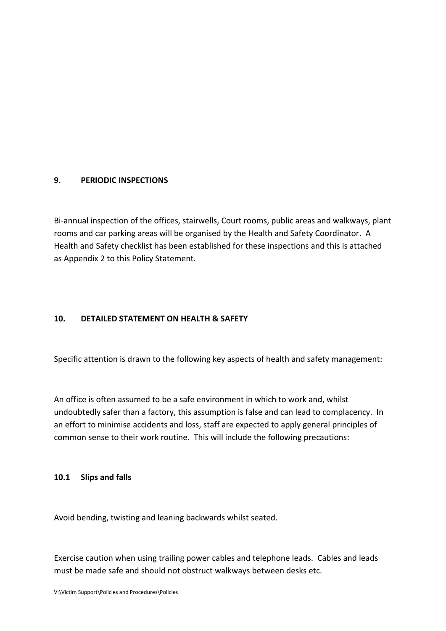## **9. PERIODIC INSPECTIONS**

Bi-annual inspection of the offices, stairwells, Court rooms, public areas and walkways, plant rooms and car parking areas will be organised by the Health and Safety Coordinator. A Health and Safety checklist has been established for these inspections and this is attached as Appendix 2 to this Policy Statement.

## **10. DETAILED STATEMENT ON HEALTH & SAFETY**

Specific attention is drawn to the following key aspects of health and safety management:

An office is often assumed to be a safe environment in which to work and, whilst undoubtedly safer than a factory, this assumption is false and can lead to complacency. In an effort to minimise accidents and loss, staff are expected to apply general principles of common sense to their work routine. This will include the following precautions:

## **10.1 Slips and falls**

Avoid bending, twisting and leaning backwards whilst seated.

Exercise caution when using trailing power cables and telephone leads. Cables and leads must be made safe and should not obstruct walkways between desks etc.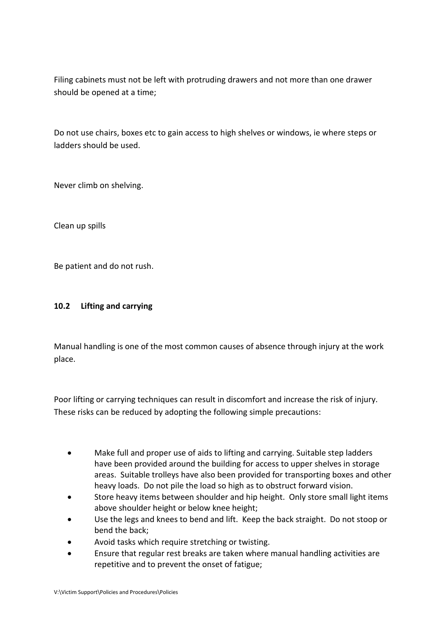Filing cabinets must not be left with protruding drawers and not more than one drawer should be opened at a time;

Do not use chairs, boxes etc to gain access to high shelves or windows, ie where steps or ladders should be used.

Never climb on shelving.

Clean up spills

Be patient and do not rush.

## **10.2 Lifting and carrying**

Manual handling is one of the most common causes of absence through injury at the work place.

Poor lifting or carrying techniques can result in discomfort and increase the risk of injury. These risks can be reduced by adopting the following simple precautions:

- Make full and proper use of aids to lifting and carrying. Suitable step ladders have been provided around the building for access to upper shelves in storage areas. Suitable trolleys have also been provided for transporting boxes and other heavy loads. Do not pile the load so high as to obstruct forward vision.
- Store heavy items between shoulder and hip height. Only store small light items above shoulder height or below knee height;
- Use the legs and knees to bend and lift. Keep the back straight. Do not stoop or bend the back;
- Avoid tasks which require stretching or twisting.
- Ensure that regular rest breaks are taken where manual handling activities are repetitive and to prevent the onset of fatigue;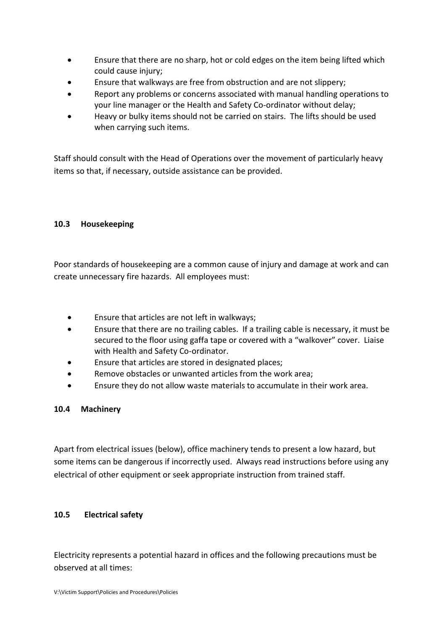- Ensure that there are no sharp, hot or cold edges on the item being lifted which could cause injury;
- Ensure that walkways are free from obstruction and are not slippery;
- Report any problems or concerns associated with manual handling operations to your line manager or the Health and Safety Co-ordinator without delay;
- Heavy or bulky items should not be carried on stairs. The lifts should be used when carrying such items.

Staff should consult with the Head of Operations over the movement of particularly heavy items so that, if necessary, outside assistance can be provided.

## **10.3 Housekeeping**

Poor standards of housekeeping are a common cause of injury and damage at work and can create unnecessary fire hazards. All employees must:

- Ensure that articles are not left in walkways;
- Ensure that there are no trailing cables. If a trailing cable is necessary, it must be secured to the floor using gaffa tape or covered with a "walkover" cover. Liaise with Health and Safety Co-ordinator.
- Ensure that articles are stored in designated places;
- Remove obstacles or unwanted articles from the work area:
- Ensure they do not allow waste materials to accumulate in their work area.

## **10.4 Machinery**

Apart from electrical issues (below), office machinery tends to present a low hazard, but some items can be dangerous if incorrectly used. Always read instructions before using any electrical of other equipment or seek appropriate instruction from trained staff.

## **10.5 Electrical safety**

Electricity represents a potential hazard in offices and the following precautions must be observed at all times: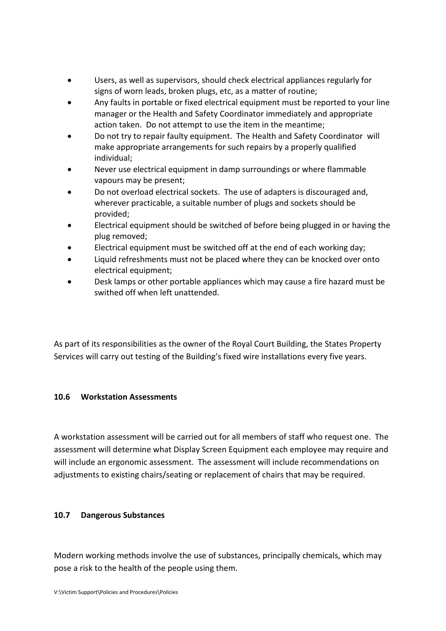- Users, as well as supervisors, should check electrical appliances regularly for signs of worn leads, broken plugs, etc, as a matter of routine;
- Any faults in portable or fixed electrical equipment must be reported to your line manager or the Health and Safety Coordinator immediately and appropriate action taken. Do not attempt to use the item in the meantime;
- Do not try to repair faulty equipment. The Health and Safety Coordinator will make appropriate arrangements for such repairs by a properly qualified individual;
- Never use electrical equipment in damp surroundings or where flammable vapours may be present;
- Do not overload electrical sockets. The use of adapters is discouraged and, wherever practicable, a suitable number of plugs and sockets should be provided;
- Electrical equipment should be switched of before being plugged in or having the plug removed;
- Electrical equipment must be switched off at the end of each working day;
- Liquid refreshments must not be placed where they can be knocked over onto electrical equipment;
- Desk lamps or other portable appliances which may cause a fire hazard must be swithed off when left unattended.

As part of its responsibilities as the owner of the Royal Court Building, the States Property Services will carry out testing of the Building's fixed wire installations every five years.

## **10.6 Workstation Assessments**

A workstation assessment will be carried out for all members of staff who request one. The assessment will determine what Display Screen Equipment each employee may require and will include an ergonomic assessment. The assessment will include recommendations on adjustments to existing chairs/seating or replacement of chairs that may be required.

## **10.7 Dangerous Substances**

Modern working methods involve the use of substances, principally chemicals, which may pose a risk to the health of the people using them.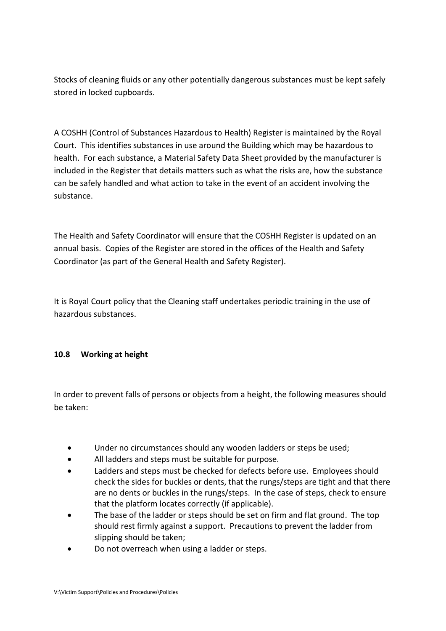Stocks of cleaning fluids or any other potentially dangerous substances must be kept safely stored in locked cupboards.

A COSHH (Control of Substances Hazardous to Health) Register is maintained by the Royal Court. This identifies substances in use around the Building which may be hazardous to health. For each substance, a Material Safety Data Sheet provided by the manufacturer is included in the Register that details matters such as what the risks are, how the substance can be safely handled and what action to take in the event of an accident involving the substance.

The Health and Safety Coordinator will ensure that the COSHH Register is updated on an annual basis. Copies of the Register are stored in the offices of the Health and Safety Coordinator (as part of the General Health and Safety Register).

It is Royal Court policy that the Cleaning staff undertakes periodic training in the use of hazardous substances.

## **10.8 Working at height**

In order to prevent falls of persons or objects from a height, the following measures should be taken:

- Under no circumstances should any wooden ladders or steps be used:
- All ladders and steps must be suitable for purpose.
- Ladders and steps must be checked for defects before use. Employees should check the sides for buckles or dents, that the rungs/steps are tight and that there are no dents or buckles in the rungs/steps. In the case of steps, check to ensure that the platform locates correctly (if applicable).
- The base of the ladder or steps should be set on firm and flat ground. The top should rest firmly against a support. Precautions to prevent the ladder from slipping should be taken;
- Do not overreach when using a ladder or steps.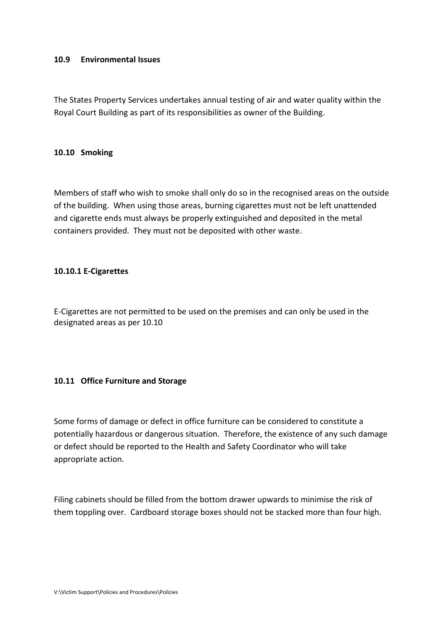#### **10.9 Environmental Issues**

The States Property Services undertakes annual testing of air and water quality within the Royal Court Building as part of its responsibilities as owner of the Building.

#### **10.10 Smoking**

Members of staff who wish to smoke shall only do so in the recognised areas on the outside of the building. When using those areas, burning cigarettes must not be left unattended and cigarette ends must always be properly extinguished and deposited in the metal containers provided. They must not be deposited with other waste.

#### **10.10.1 E-Cigarettes**

E-Cigarettes are not permitted to be used on the premises and can only be used in the designated areas as per 10.10

## **10.11 Office Furniture and Storage**

Some forms of damage or defect in office furniture can be considered to constitute a potentially hazardous or dangerous situation. Therefore, the existence of any such damage or defect should be reported to the Health and Safety Coordinator who will take appropriate action.

Filing cabinets should be filled from the bottom drawer upwards to minimise the risk of them toppling over. Cardboard storage boxes should not be stacked more than four high.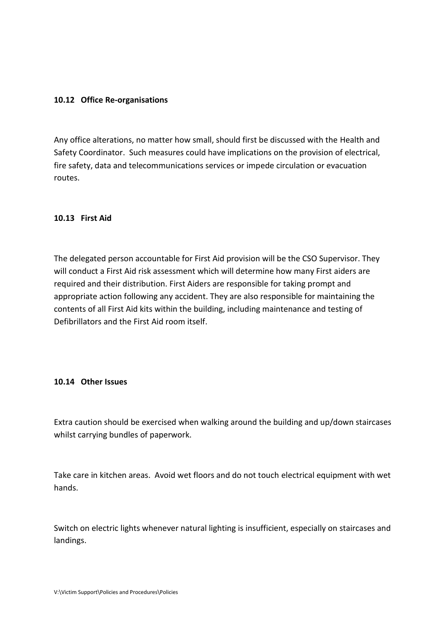## **10.12 Office Re-organisations**

Any office alterations, no matter how small, should first be discussed with the Health and Safety Coordinator. Such measures could have implications on the provision of electrical, fire safety, data and telecommunications services or impede circulation or evacuation routes.

## **10.13 First Aid**

The delegated person accountable for First Aid provision will be the CSO Supervisor. They will conduct a First Aid risk assessment which will determine how many First aiders are required and their distribution. First Aiders are responsible for taking prompt and appropriate action following any accident. They are also responsible for maintaining the contents of all First Aid kits within the building, including maintenance and testing of Defibrillators and the First Aid room itself.

#### **10.14 Other Issues**

Extra caution should be exercised when walking around the building and up/down staircases whilst carrying bundles of paperwork.

Take care in kitchen areas. Avoid wet floors and do not touch electrical equipment with wet hands.

Switch on electric lights whenever natural lighting is insufficient, especially on staircases and landings.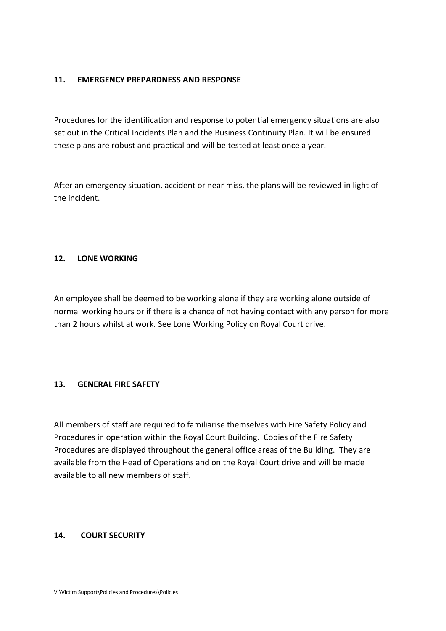## **11. EMERGENCY PREPARDNESS AND RESPONSE**

Procedures for the identification and response to potential emergency situations are also set out in the Critical Incidents Plan and the Business Continuity Plan. It will be ensured these plans are robust and practical and will be tested at least once a year.

After an emergency situation, accident or near miss, the plans will be reviewed in light of the incident.

## **12. LONE WORKING**

An employee shall be deemed to be working alone if they are working alone outside of normal working hours or if there is a chance of not having contact with any person for more than 2 hours whilst at work. See Lone Working Policy on Royal Court drive.

## **13. GENERAL FIRE SAFETY**

All members of staff are required to familiarise themselves with Fire Safety Policy and Procedures in operation within the Royal Court Building. Copies of the Fire Safety Procedures are displayed throughout the general office areas of the Building. They are available from the Head of Operations and on the Royal Court drive and will be made available to all new members of staff.

## **14. COURT SECURITY**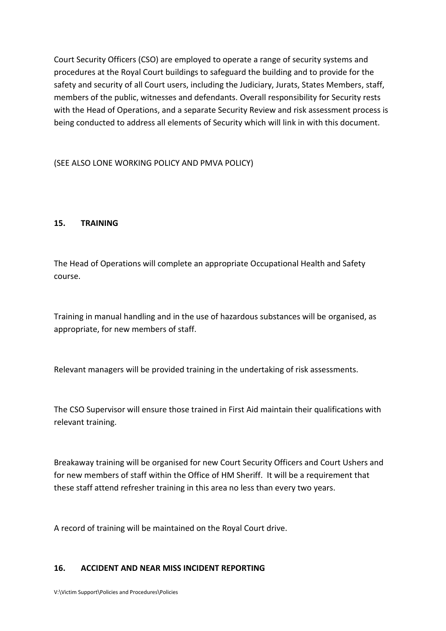Court Security Officers (CSO) are employed to operate a range of security systems and procedures at the Royal Court buildings to safeguard the building and to provide for the safety and security of all Court users, including the Judiciary, Jurats, States Members, staff, members of the public, witnesses and defendants. Overall responsibility for Security rests with the Head of Operations, and a separate Security Review and risk assessment process is being conducted to address all elements of Security which will link in with this document.

(SEE ALSO LONE WORKING POLICY AND PMVA POLICY)

## **15. TRAINING**

The Head of Operations will complete an appropriate Occupational Health and Safety course.

Training in manual handling and in the use of hazardous substances will be organised, as appropriate, for new members of staff.

Relevant managers will be provided training in the undertaking of risk assessments.

The CSO Supervisor will ensure those trained in First Aid maintain their qualifications with relevant training.

Breakaway training will be organised for new Court Security Officers and Court Ushers and for new members of staff within the Office of HM Sheriff. It will be a requirement that these staff attend refresher training in this area no less than every two years.

A record of training will be maintained on the Royal Court drive.

## **16. ACCIDENT AND NEAR MISS INCIDENT REPORTING**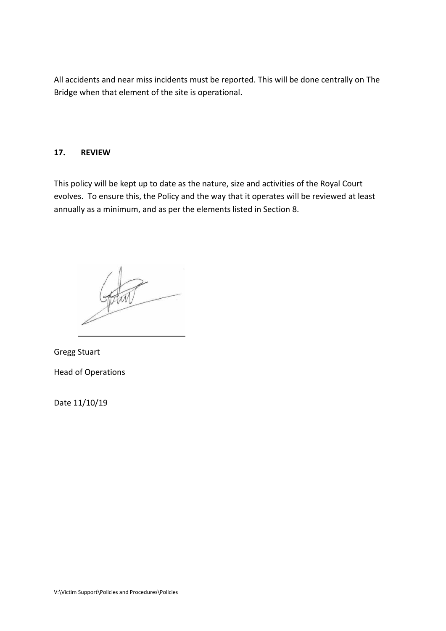All accidents and near miss incidents must be reported. This will be done centrally on The Bridge when that element of the site is operational.

## **17. REVIEW**

This policy will be kept up to date as the nature, size and activities of the Royal Court evolves. To ensure this, the Policy and the way that it operates will be reviewed at least annually as a minimum, and as per the elements listed in Section 8.

Gregg Stuart Head of Operations

Date 11/10/19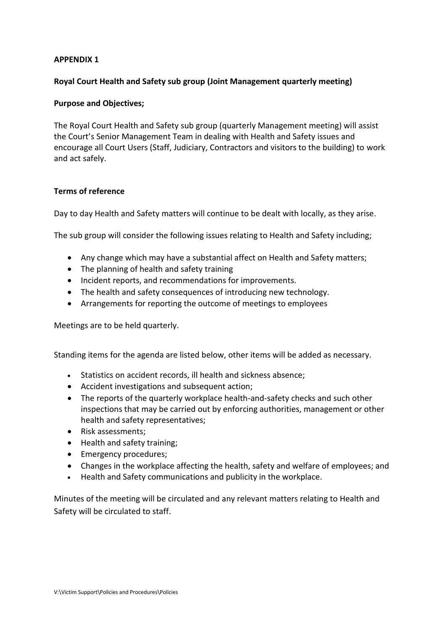## **APPENDIX 1**

## **Royal Court Health and Safety sub group (Joint Management quarterly meeting)**

## **Purpose and Objectives;**

The Royal Court Health and Safety sub group (quarterly Management meeting) will assist the Court's Senior Management Team in dealing with Health and Safety issues and encourage all Court Users (Staff, Judiciary, Contractors and visitors to the building) to work and act safely.

## **Terms of reference**

Day to day Health and Safety matters will continue to be dealt with locally, as they arise.

The sub group will consider the following issues relating to Health and Safety including;

- Any change which may have a substantial affect on Health and Safety matters;
- The planning of health and safety training
- Incident reports, and recommendations for improvements.
- The health and safety consequences of introducing new technology.
- Arrangements for reporting the outcome of meetings to employees

Meetings are to be held quarterly.

Standing items for the agenda are listed below, other items will be added as necessary.

- Statistics on accident records, ill health and sickness absence;
- Accident investigations and subsequent action;
- The reports of the quarterly workplace health-and-safety checks and such other inspections that may be carried out by enforcing authorities, management or other health and safety representatives;
- Risk assessments;
- Health and safety training;
- Emergency procedures;
- Changes in the workplace affecting the health, safety and welfare of employees; and
- Health and Safety communications and publicity in the workplace.

Minutes of the meeting will be circulated and any relevant matters relating to Health and Safety will be circulated to staff.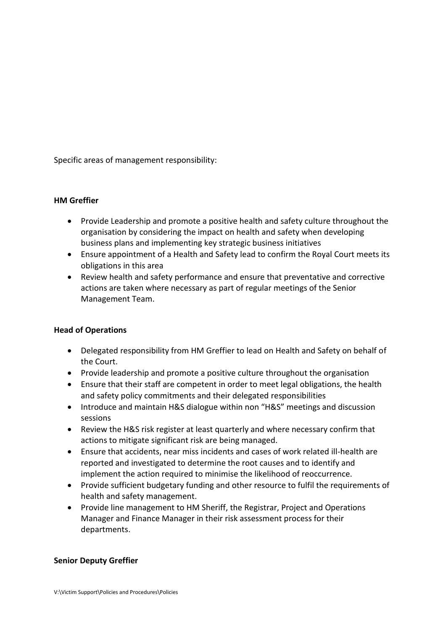Specific areas of management responsibility:

## **HM Greffier**

- Provide Leadership and promote a positive health and safety culture throughout the organisation by considering the impact on health and safety when developing business plans and implementing key strategic business initiatives
- Ensure appointment of a Health and Safety lead to confirm the Royal Court meets its obligations in this area
- Review health and safety performance and ensure that preventative and corrective actions are taken where necessary as part of regular meetings of the Senior Management Team.

## **Head of Operations**

- Delegated responsibility from HM Greffier to lead on Health and Safety on behalf of the Court.
- Provide leadership and promote a positive culture throughout the organisation
- Ensure that their staff are competent in order to meet legal obligations, the health and safety policy commitments and their delegated responsibilities
- Introduce and maintain H&S dialogue within non "H&S" meetings and discussion sessions
- Review the H&S risk register at least quarterly and where necessary confirm that actions to mitigate significant risk are being managed.
- Ensure that accidents, near miss incidents and cases of work related ill-health are reported and investigated to determine the root causes and to identify and implement the action required to minimise the likelihood of reoccurrence.
- Provide sufficient budgetary funding and other resource to fulfil the requirements of health and safety management.
- Provide line management to HM Sheriff, the Registrar, Project and Operations Manager and Finance Manager in their risk assessment process for their departments.

## **Senior Deputy Greffier**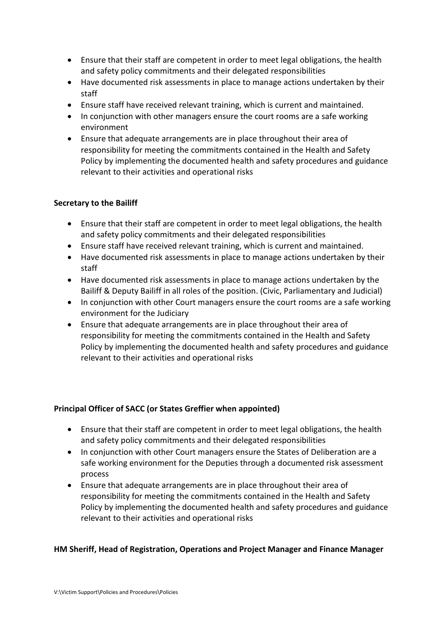- Ensure that their staff are competent in order to meet legal obligations, the health and safety policy commitments and their delegated responsibilities
- Have documented risk assessments in place to manage actions undertaken by their staff
- Ensure staff have received relevant training, which is current and maintained.
- In conjunction with other managers ensure the court rooms are a safe working environment
- Ensure that adequate arrangements are in place throughout their area of responsibility for meeting the commitments contained in the Health and Safety Policy by implementing the documented health and safety procedures and guidance relevant to their activities and operational risks

## **Secretary to the Bailiff**

- Ensure that their staff are competent in order to meet legal obligations, the health and safety policy commitments and their delegated responsibilities
- Ensure staff have received relevant training, which is current and maintained.
- Have documented risk assessments in place to manage actions undertaken by their staff
- Have documented risk assessments in place to manage actions undertaken by the Bailiff & Deputy Bailiff in all roles of the position. (Civic, Parliamentary and Judicial)
- In conjunction with other Court managers ensure the court rooms are a safe working environment for the Judiciary
- Ensure that adequate arrangements are in place throughout their area of responsibility for meeting the commitments contained in the Health and Safety Policy by implementing the documented health and safety procedures and guidance relevant to their activities and operational risks

## **Principal Officer of SACC (or States Greffier when appointed)**

- Ensure that their staff are competent in order to meet legal obligations, the health and safety policy commitments and their delegated responsibilities
- In conjunction with other Court managers ensure the States of Deliberation are a safe working environment for the Deputies through a documented risk assessment process
- Ensure that adequate arrangements are in place throughout their area of responsibility for meeting the commitments contained in the Health and Safety Policy by implementing the documented health and safety procedures and guidance relevant to their activities and operational risks

## **HM Sheriff, Head of Registration, Operations and Project Manager and Finance Manager**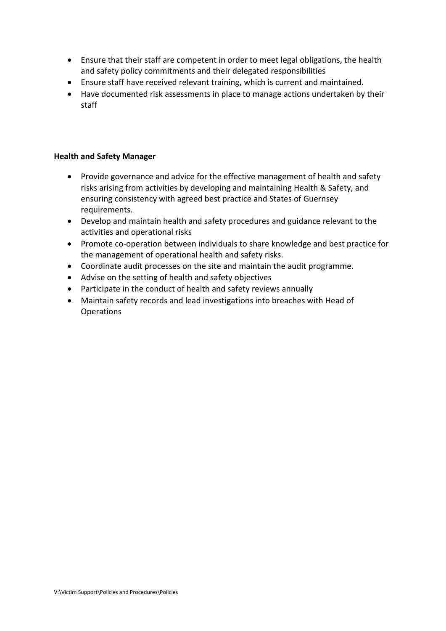- Ensure that their staff are competent in order to meet legal obligations, the health and safety policy commitments and their delegated responsibilities
- Ensure staff have received relevant training, which is current and maintained.
- Have documented risk assessments in place to manage actions undertaken by their staff

## **Health and Safety Manager**

- Provide governance and advice for the effective management of health and safety risks arising from activities by developing and maintaining Health & Safety, and ensuring consistency with agreed best practice and States of Guernsey requirements.
- Develop and maintain health and safety procedures and guidance relevant to the activities and operational risks
- Promote co-operation between individuals to share knowledge and best practice for the management of operational health and safety risks.
- Coordinate audit processes on the site and maintain the audit programme.
- Advise on the setting of health and safety objectives
- Participate in the conduct of health and safety reviews annually
- Maintain safety records and lead investigations into breaches with Head of Operations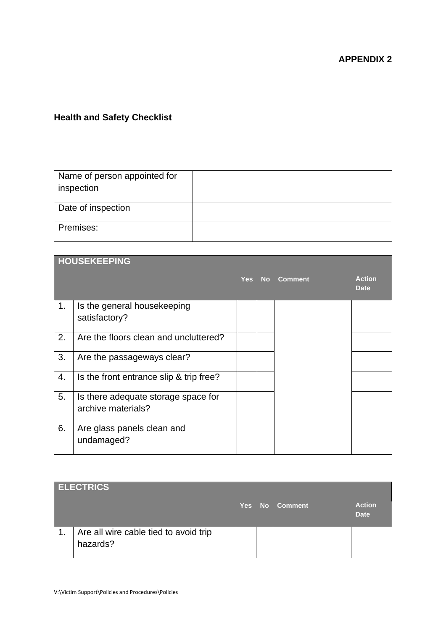## **APPENDIX 2**

## **Health and Safety Checklist**

| Name of person appointed for<br>inspection |  |
|--------------------------------------------|--|
| Date of inspection                         |  |
| Premises:                                  |  |

|    | <b>HOUSEKEEPING</b>                                       |            |    |                |                              |
|----|-----------------------------------------------------------|------------|----|----------------|------------------------------|
|    |                                                           | <b>Yes</b> | No | <b>Comment</b> | <b>Action</b><br><b>Date</b> |
| 1. | Is the general housekeeping<br>satisfactory?              |            |    |                |                              |
| 2. | Are the floors clean and uncluttered?                     |            |    |                |                              |
| 3. | Are the passageways clear?                                |            |    |                |                              |
| 4. | Is the front entrance slip & trip free?                   |            |    |                |                              |
| 5. | Is there adequate storage space for<br>archive materials? |            |    |                |                              |
| 6. | Are glass panels clean and<br>undamaged?                  |            |    |                |                              |

|                | <b>ELECTRICS</b>                                  |  |                |                              |
|----------------|---------------------------------------------------|--|----------------|------------------------------|
|                |                                                   |  | Yes No Comment | <b>Action</b><br><b>Date</b> |
| $\mathbf{1}$ . | Are all wire cable tied to avoid trip<br>hazards? |  |                |                              |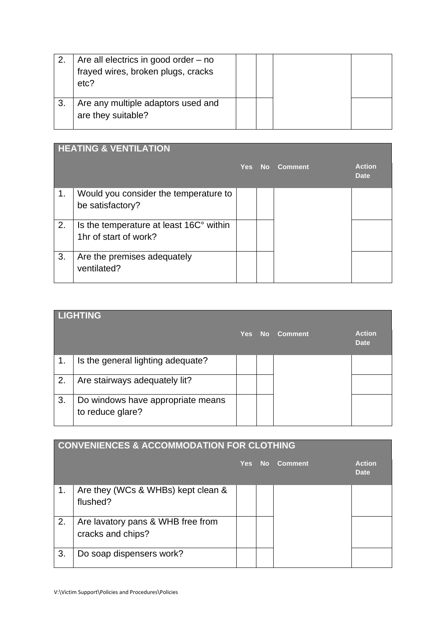| Are all electrics in good order $-$ no<br>frayed wires, broken plugs, cracks<br>etc? |  |  |
|--------------------------------------------------------------------------------------|--|--|
| Are any multiple adaptors used and<br>are they suitable?                             |  |  |

|    | <b>HEATING &amp; VENTILATION</b>                                 |            |      |                |                              |  |  |
|----|------------------------------------------------------------------|------------|------|----------------|------------------------------|--|--|
|    |                                                                  | <b>Yes</b> | - No | <b>Comment</b> | <b>Action</b><br><b>Date</b> |  |  |
| 1. | Would you consider the temperature to<br>be satisfactory?        |            |      |                |                              |  |  |
| 2. | Is the temperature at least 16C° within<br>1hr of start of work? |            |      |                |                              |  |  |
| 3. | Are the premises adequately<br>ventilated?                       |            |      |                |                              |  |  |

|    | <b>LIGHTING</b>                                       |            |       |                |                              |
|----|-------------------------------------------------------|------------|-------|----------------|------------------------------|
|    |                                                       | <b>Yes</b> | No No | <b>Comment</b> | <b>Action</b><br><b>Date</b> |
| 1. | Is the general lighting adequate?                     |            |       |                |                              |
| 2. | Are stairways adequately lit?                         |            |       |                |                              |
| 3. | Do windows have appropriate means<br>to reduce glare? |            |       |                |                              |

|    | <b>CONVENIENCES &amp; ACCOMMODATION FOR CLOTHING</b>   |     |           |                |                              |
|----|--------------------------------------------------------|-----|-----------|----------------|------------------------------|
|    |                                                        | Yes | <b>No</b> | <b>Comment</b> | <b>Action</b><br><b>Date</b> |
| 1. | Are they (WCs & WHBs) kept clean &<br>flushed?         |     |           |                |                              |
| 2. | Are lavatory pans & WHB free from<br>cracks and chips? |     |           |                |                              |
| 3. | Do soap dispensers work?                               |     |           |                |                              |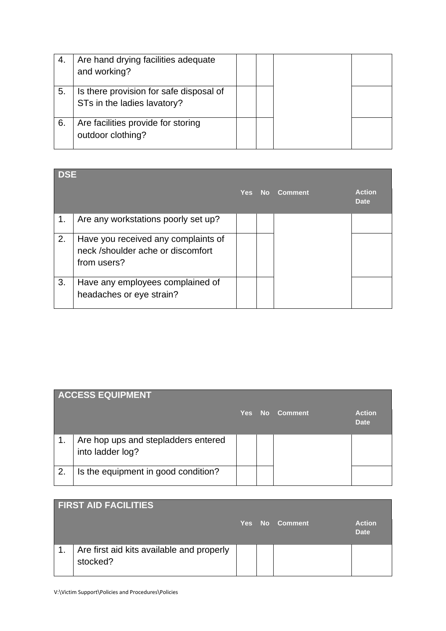|    | Are hand drying facilities adequate<br>and working?                    |  |  |
|----|------------------------------------------------------------------------|--|--|
| 5. | Is there provision for safe disposal of<br>STs in the ladies lavatory? |  |  |
| 6. | Are facilities provide for storing<br>outdoor clothing?                |  |  |

| <b>DSE</b> |                                                                                         |  | Yes No Comment | <b>Action</b><br><b>Date</b> |
|------------|-----------------------------------------------------------------------------------------|--|----------------|------------------------------|
| 1.         | Are any workstations poorly set up?                                                     |  |                |                              |
| 2.         | Have you received any complaints of<br>neck /shoulder ache or discomfort<br>from users? |  |                |                              |
| 3.         | Have any employees complained of<br>headaches or eye strain?                            |  |                |                              |

|    | <b>ACCESS EQUIPMENT</b>                                 |            |           |                |                              |
|----|---------------------------------------------------------|------------|-----------|----------------|------------------------------|
|    |                                                         | <b>Yes</b> | <b>No</b> | <b>Comment</b> | <b>Action</b><br><b>Date</b> |
|    | Are hop ups and stepladders entered<br>into ladder log? |            |           |                |                              |
| 2. | Is the equipment in good condition?                     |            |           |                |                              |

|                | <b>FIRST AID FACILITIES</b>                           |  |                |                              |
|----------------|-------------------------------------------------------|--|----------------|------------------------------|
|                |                                                       |  | Yes No Comment | <b>Action</b><br><b>Date</b> |
| $\mathbf{1}$ . | Are first aid kits available and properly<br>stocked? |  |                |                              |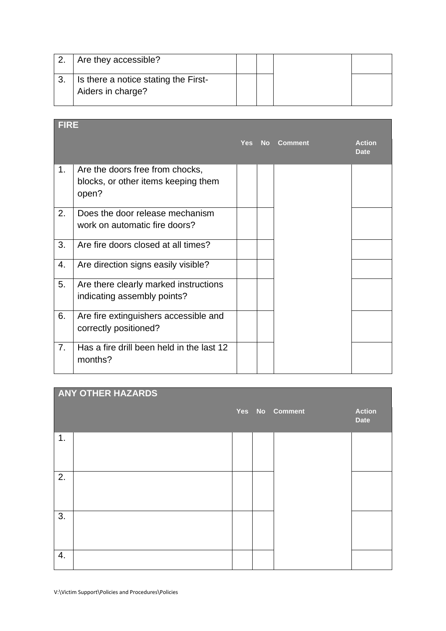| Are they accessible?                                      |  |  |
|-----------------------------------------------------------|--|--|
| Is there a notice stating the First-<br>Aiders in charge? |  |  |

| <b>FIRE</b> |                                                                                 |            |    |                |                              |
|-------------|---------------------------------------------------------------------------------|------------|----|----------------|------------------------------|
|             |                                                                                 | <b>Yes</b> | No | <b>Comment</b> | <b>Action</b><br><b>Date</b> |
| 1.          | Are the doors free from chocks,<br>blocks, or other items keeping them<br>open? |            |    |                |                              |
| 2.          | Does the door release mechanism<br>work on automatic fire doors?                |            |    |                |                              |
| 3.          | Are fire doors closed at all times?                                             |            |    |                |                              |
| 4.          | Are direction signs easily visible?                                             |            |    |                |                              |
| 5.          | Are there clearly marked instructions<br>indicating assembly points?            |            |    |                |                              |
| 6.          | Are fire extinguishers accessible and<br>correctly positioned?                  |            |    |                |                              |
| 7.          | Has a fire drill been held in the last 12<br>months?                            |            |    |                |                              |

|    | <b>ANY OTHER HAZARDS</b> |  |                |                              |
|----|--------------------------|--|----------------|------------------------------|
|    |                          |  | Yes No Comment | <b>Action</b><br><b>Date</b> |
| 1. |                          |  |                |                              |
| 2. |                          |  |                |                              |
| 3. |                          |  |                |                              |
| 4. |                          |  |                |                              |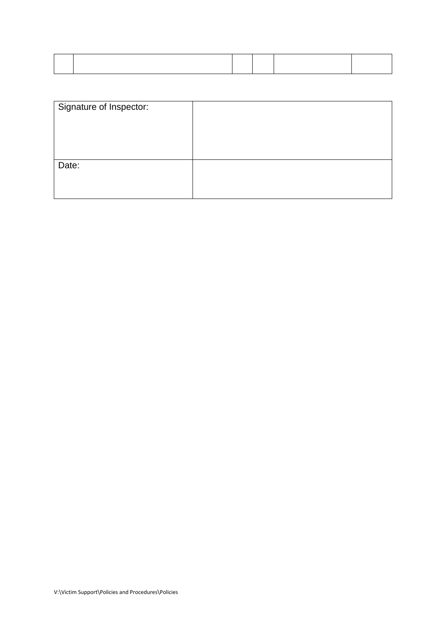| Signature of Inspector: |  |
|-------------------------|--|
| Date:                   |  |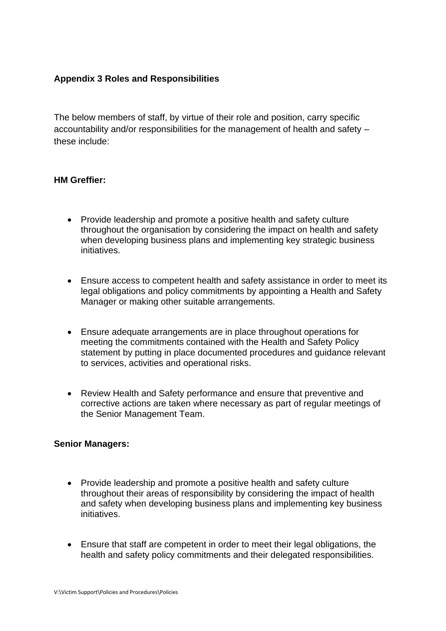## **Appendix 3 Roles and Responsibilities**

The below members of staff, by virtue of their role and position, carry specific accountability and/or responsibilities for the management of health and safety – these include:

## **HM Greffier:**

- Provide leadership and promote a positive health and safety culture throughout the organisation by considering the impact on health and safety when developing business plans and implementing key strategic business initiatives.
- Ensure access to competent health and safety assistance in order to meet its legal obligations and policy commitments by appointing a Health and Safety Manager or making other suitable arrangements.
- Ensure adequate arrangements are in place throughout operations for meeting the commitments contained with the Health and Safety Policy statement by putting in place documented procedures and guidance relevant to services, activities and operational risks.
- Review Health and Safety performance and ensure that preventive and corrective actions are taken where necessary as part of regular meetings of the Senior Management Team.

## **Senior Managers:**

- Provide leadership and promote a positive health and safety culture throughout their areas of responsibility by considering the impact of health and safety when developing business plans and implementing key business initiatives.
- Ensure that staff are competent in order to meet their legal obligations, the health and safety policy commitments and their delegated responsibilities.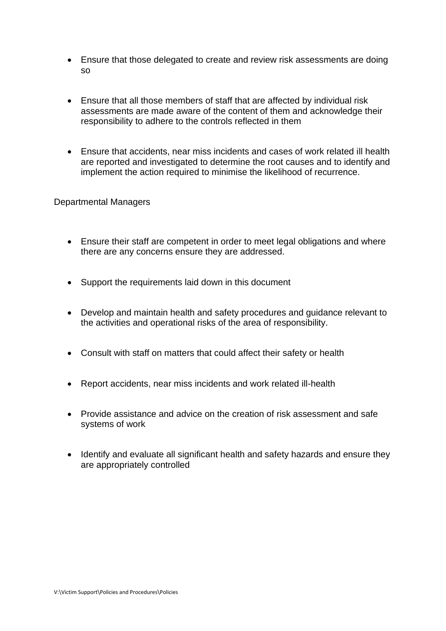- Ensure that those delegated to create and review risk assessments are doing so
- Ensure that all those members of staff that are affected by individual risk assessments are made aware of the content of them and acknowledge their responsibility to adhere to the controls reflected in them
- Ensure that accidents, near miss incidents and cases of work related ill health are reported and investigated to determine the root causes and to identify and implement the action required to minimise the likelihood of recurrence.

Departmental Managers

- Ensure their staff are competent in order to meet legal obligations and where there are any concerns ensure they are addressed.
- Support the requirements laid down in this document
- Develop and maintain health and safety procedures and guidance relevant to the activities and operational risks of the area of responsibility.
- Consult with staff on matters that could affect their safety or health
- Report accidents, near miss incidents and work related ill-health
- Provide assistance and advice on the creation of risk assessment and safe systems of work
- Identify and evaluate all significant health and safety hazards and ensure they are appropriately controlled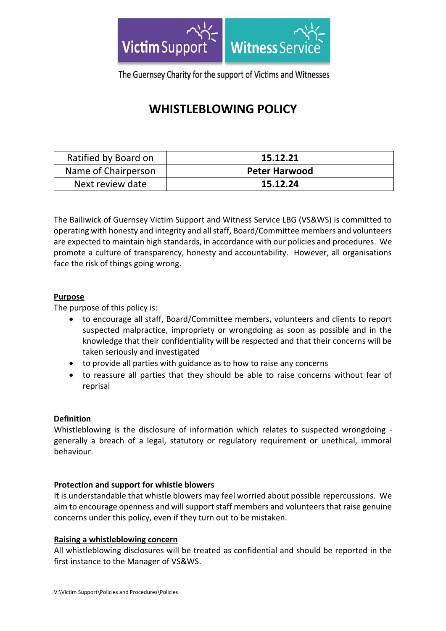

The Guernsey Charity for the support of Victims and Witnesses

# **WHISTLEBLOWING POLICY**

| Ratified by Board on | 15.12.21             |
|----------------------|----------------------|
| Name of Chairperson  | <b>Peter Harwood</b> |
| Next review date     | 15.12.24             |

The Bailiwick of Guernsey Victim Support and Witness Service LBG (VS&WS) is committed to operating with honesty and integrity and all staff, Board/Committee members and volunteers are expected to maintain high standards, in accordance with our policies and procedures. We promote a culture of transparency, honesty and accountability. However, all organisations face the risk of things going wrong.

## **Purpose**

The purpose of this policy is:

- to encourage all staff, Board/Committee members, volunteers and clients to report suspected malpractice, impropriety or wrongdoing as soon as possible and in the knowledge that their confidentiality will be respected and that their concerns will be taken seriously and investigated
- to provide all parties with guidance as to how to raise any concerns
- to reassure all parties that they should be able to raise concerns without fear of reprisal

## **Definition**

Whistleblowing is the disclosure of information which relates to suspected wrongdoing generally a breach of a legal, statutory or regulatory requirement or unethical, immoral behaviour.

## **Protection and support for whistle blowers**

It is understandable that whistle blowers may feel worried about possible repercussions. We aim to encourage openness and will support staff members and volunteers that raise genuine concerns under this policy, even if they turn out to be mistaken.

## **Raising a whistleblowing concern**

All whistleblowing disclosures will be treated as confidential and should be reported in the first instance to the Manager of VS&WS.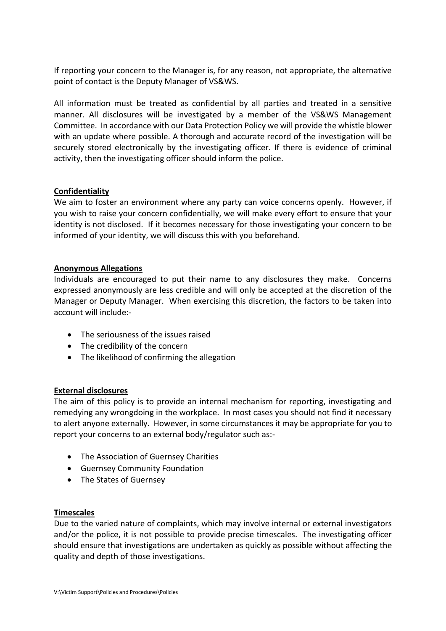If reporting your concern to the Manager is, for any reason, not appropriate, the alternative point of contact is the Deputy Manager of VS&WS.

All information must be treated as confidential by all parties and treated in a sensitive manner. All disclosures will be investigated by a member of the VS&WS Management Committee. In accordance with our Data Protection Policy we will provide the whistle blower with an update where possible. A thorough and accurate record of the investigation will be securely stored electronically by the investigating officer. If there is evidence of criminal activity, then the investigating officer should inform the police.

## **Confidentiality**

We aim to foster an environment where any party can voice concerns openly. However, if you wish to raise your concern confidentially, we will make every effort to ensure that your identity is not disclosed. If it becomes necessary for those investigating your concern to be informed of your identity, we will discuss this with you beforehand.

## **Anonymous Allegations**

Individuals are encouraged to put their name to any disclosures they make. Concerns expressed anonymously are less credible and will only be accepted at the discretion of the Manager or Deputy Manager. When exercising this discretion, the factors to be taken into account will include:-

- The seriousness of the issues raised
- The credibility of the concern
- The likelihood of confirming the allegation

## **External disclosures**

The aim of this policy is to provide an internal mechanism for reporting, investigating and remedying any wrongdoing in the workplace. In most cases you should not find it necessary to alert anyone externally. However, in some circumstances it may be appropriate for you to report your concerns to an external body/regulator such as:-

- The Association of Guernsey Charities
- Guernsey Community Foundation
- The States of Guernsey

## **Timescales**

Due to the varied nature of complaints, which may involve internal or external investigators and/or the police, it is not possible to provide precise timescales. The investigating officer should ensure that investigations are undertaken as quickly as possible without affecting the quality and depth of those investigations.